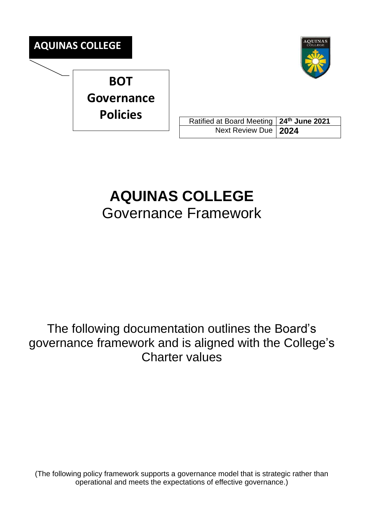



Ratified at Board Meeting **24 th June 2021** Next Review Due **2024**

# **AQUINAS COLLEGE** Governance Framework

The following documentation outlines the Board's governance framework and is aligned with the College's Charter values

(The following policy framework supports a governance model that is strategic rather than operational and meets the expectations of effective governance.)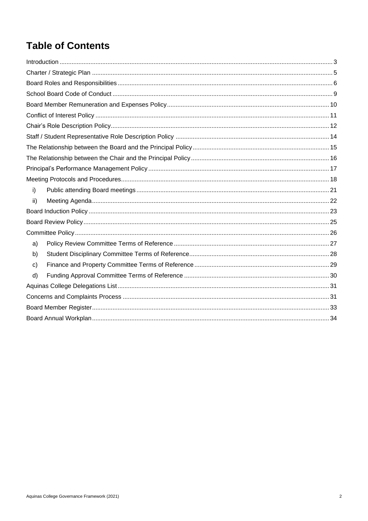# **Table of Contents**

| i)           |
|--------------|
| ii)          |
|              |
|              |
|              |
| a)           |
| b)           |
| $\mathbf{C}$ |
| d)           |
|              |
|              |
|              |
|              |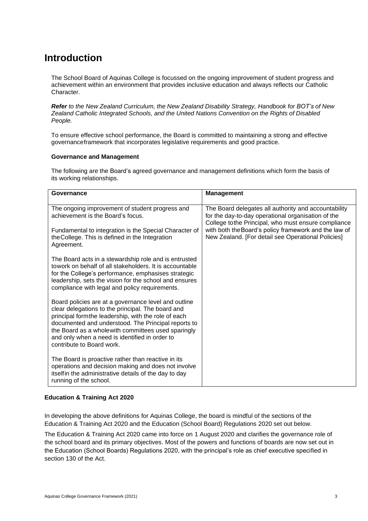### <span id="page-2-0"></span>**Introduction**

The School Board of Aquinas College is focussed on the ongoing improvement of student progress and achievement within an environment that provides inclusive education and always reflects our Catholic Character.

*Refer to the New Zealand Curriculum, the New Zealand Disability Strategy, Handbook for BOT's of New Zealand Catholic Integrated Schools, and the United Nations Convention on the Rights of Disabled People.*

To ensure effective school performance, the Board is committed to maintaining a strong and effective governanceframework that incorporates legislative requirements and good practice.

#### **Governance and Management**

The following are the Board's agreed governance and management definitions which form the basis of its working relationships.

| Governance                                                                                                                                                                                                                                                                                                                                                   | <b>Management</b>                                                                                                                                                                                                                                                                |
|--------------------------------------------------------------------------------------------------------------------------------------------------------------------------------------------------------------------------------------------------------------------------------------------------------------------------------------------------------------|----------------------------------------------------------------------------------------------------------------------------------------------------------------------------------------------------------------------------------------------------------------------------------|
| The ongoing improvement of student progress and<br>achievement is the Board's focus.<br>Fundamental to integration is the Special Character of<br>the College. This is defined in the Integration<br>Agreement.                                                                                                                                              | The Board delegates all authority and accountability<br>for the day-to-day operational organisation of the<br>College tothe Principal, who must ensure compliance<br>with both the Board's policy framework and the law of<br>New Zealand. [For detail see Operational Policies] |
| The Board acts in a stewardship role and is entrusted<br>towork on behalf of all stakeholders. It is accountable<br>for the College's performance, emphasises strategic<br>leadership, sets the vision for the school and ensures<br>compliance with legal and policy requirements.                                                                          |                                                                                                                                                                                                                                                                                  |
| Board policies are at a governance level and outline<br>clear delegations to the principal. The board and<br>principal formthe leadership, with the role of each<br>documented and understood. The Principal reports to<br>the Board as a wholewith committees used sparingly<br>and only when a need is identified in order to<br>contribute to Board work. |                                                                                                                                                                                                                                                                                  |
| The Board is proactive rather than reactive in its<br>operations and decision making and does not involve<br>itself in the administrative details of the day to day<br>running of the school.                                                                                                                                                                |                                                                                                                                                                                                                                                                                  |

#### **Education & Training Act 2020**

In developing the above definitions for Aquinas College, the board is mindful of the sections of the Education & Training Act 2020 and the Education (School Board) Regulations 2020 set out below.

The Education & Training Act 2020 came into force on 1 August 2020 and clarifies the governance role of the school board and its primary objectives. Most of the powers and functions of boards are now set out in the Education (School Boards) Regulations 2020, with the principal's role as chief executive specified in section 130 of the Act.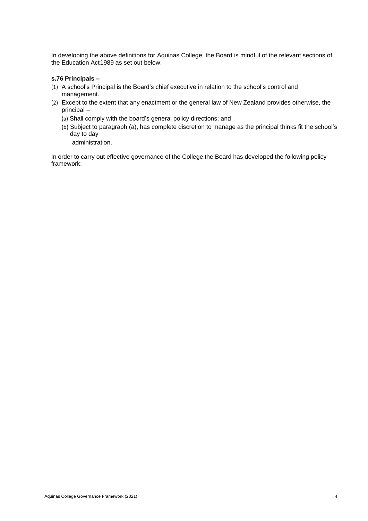In developing the above definitions for Aquinas College, the Board is mindful of the relevant sections of the Education Act1989 as set out below.

#### **s.76 Principals –**

- (1) A school's Principal is the Board's chief executive in relation to the school's control and management.
- (2) Except to the extent that any enactment or the general law of New Zealand provides otherwise, the principal –
	- (a) Shall comply with the board's general policy directions; and
	- (b) Subject to paragraph (a), has complete discretion to manage as the principal thinks fit the school's day to day

administration.

In order to carry out effective governance of the College the Board has developed the following policy framework: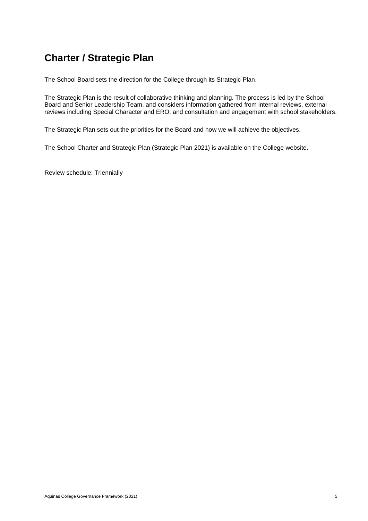# <span id="page-4-0"></span>**Charter / Strategic Plan**

The School Board sets the direction for the College through its Strategic Plan.

The Strategic Plan is the result of collaborative thinking and planning. The process is led by the School Board and Senior Leadership Team, and considers information gathered from internal reviews, external reviews including Special Character and ERO, and consultation and engagement with school stakeholders.

The Strategic Plan sets out the priorities for the Board and how we will achieve the objectives.

The School Charter and Strategic Plan (Strategic Plan 2021) is available on the College website.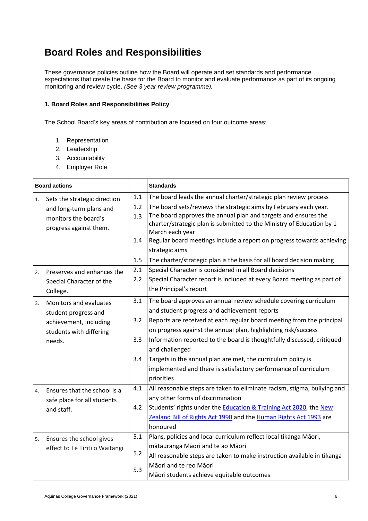# <span id="page-5-0"></span>**Board Roles and Responsibilities**

These governance policies outline how the Board will operate and set standards and performance expectations that create the basis for the Board to monitor and evaluate performance as part of its ongoing monitoring and review cycle. *(See 3 year review programme).*

#### **1. Board Roles and Responsibilities Policy**

The School Board's key areas of contribution are focused on four outcome areas:

- 1. Representation
- 2. Leadership
- 3. Accountability
- 4. Employer Role

| <b>Board actions</b> |                                                                                                               |                                 | <b>Standards</b>                                                                                                                                                                                                                                                                                                                                                                                                                                                                                         |
|----------------------|---------------------------------------------------------------------------------------------------------------|---------------------------------|----------------------------------------------------------------------------------------------------------------------------------------------------------------------------------------------------------------------------------------------------------------------------------------------------------------------------------------------------------------------------------------------------------------------------------------------------------------------------------------------------------|
| 1.                   | Sets the strategic direction<br>and long-term plans and<br>monitors the board's<br>progress against them.     | 1.1<br>1.2<br>1.3<br>1.4<br>1.5 | The board leads the annual charter/strategic plan review process<br>The board sets/reviews the strategic aims by February each year.<br>The board approves the annual plan and targets and ensures the<br>charter/strategic plan is submitted to the Ministry of Education by 1<br>March each year<br>Regular board meetings include a report on progress towards achieving<br>strategic aims<br>The charter/strategic plan is the basis for all board decision making                                   |
| 2.                   | Preserves and enhances the<br>Special Character of the<br>College.                                            | 2.1<br>2.2                      | Special Character is considered in all Board decisions<br>Special Character report is included at every Board meeting as part of<br>the Principal's report                                                                                                                                                                                                                                                                                                                                               |
| 3.                   | Monitors and evaluates<br>student progress and<br>achievement, including<br>students with differing<br>needs. | 3.1<br>3.2<br>3.3<br>3.4        | The board approves an annual review schedule covering curriculum<br>and student progress and achievement reports<br>Reports are received at each regular board meeting from the principal<br>on progress against the annual plan, highlighting risk/success<br>Information reported to the board is thoughtfully discussed, critiqued<br>and challenged<br>Targets in the annual plan are met, the curriculum policy is<br>implemented and there is satisfactory performance of curriculum<br>priorities |
| 4.                   | Ensures that the school is a<br>safe place for all students<br>and staff.                                     | 4.1<br>4.2                      | All reasonable steps are taken to eliminate racism, stigma, bullying and<br>any other forms of discrimination<br>Students' rights under the <b>Education &amp; Training Act 2020</b> , the New<br>Zealand Bill of Rights Act 1990 and the Human Rights Act 1993 are<br>honoured                                                                                                                                                                                                                          |
| 5.                   | Ensures the school gives<br>effect to Te Tiriti o Waitangi                                                    | 5.1<br>5.2<br>5.3               | Plans, policies and local curriculum reflect local tikanga Māori,<br>mātauranga Māori and te ao Māori<br>All reasonable steps are taken to make instruction available in tikanga<br>Māori and te reo Māori<br>Māori students achieve equitable outcomes                                                                                                                                                                                                                                                  |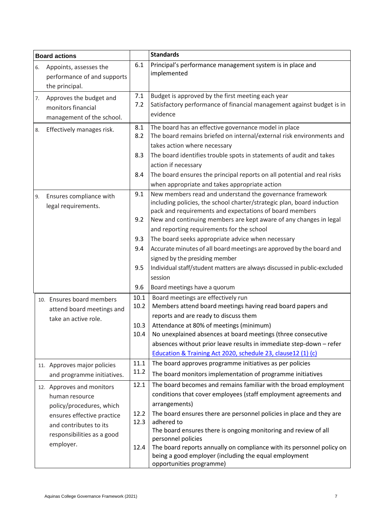| <b>Board actions</b>                                                                                                                                                       |                              | <b>Standards</b>                                                                                                                                                                                                                                                                                                                                                                                                                                                                                                                |
|----------------------------------------------------------------------------------------------------------------------------------------------------------------------------|------------------------------|---------------------------------------------------------------------------------------------------------------------------------------------------------------------------------------------------------------------------------------------------------------------------------------------------------------------------------------------------------------------------------------------------------------------------------------------------------------------------------------------------------------------------------|
| Appoints, assesses the<br>6.<br>performance of and supports<br>the principal.                                                                                              | 6.1                          | Principal's performance management system is in place and<br>implemented                                                                                                                                                                                                                                                                                                                                                                                                                                                        |
| Approves the budget and<br>7.<br>monitors financial<br>management of the school.                                                                                           | 7.1<br>7.2                   | Budget is approved by the first meeting each year<br>Satisfactory performance of financial management against budget is in<br>evidence                                                                                                                                                                                                                                                                                                                                                                                          |
| Effectively manages risk.<br>8.                                                                                                                                            | 8.1<br>8.2<br>8.3<br>8.4     | The board has an effective governance model in place<br>The board remains briefed on internal/external risk environments and<br>takes action where necessary<br>The board identifies trouble spots in statements of audit and takes<br>action if necessary<br>The board ensures the principal reports on all potential and real risks                                                                                                                                                                                           |
| Ensures compliance with<br>9.<br>legal requirements.                                                                                                                       | 9.1<br>9.2<br>9.3<br>9.4     | when appropriate and takes appropriate action<br>New members read and understand the governance framework<br>including policies, the school charter/strategic plan, board induction<br>pack and requirements and expectations of board members<br>New and continuing members are kept aware of any changes in legal<br>and reporting requirements for the school<br>The board seeks appropriate advice when necessary<br>Accurate minutes of all board meetings are approved by the board and<br>signed by the presiding member |
|                                                                                                                                                                            | 9.5<br>9.6                   | Individual staff/student matters are always discussed in public-excluded<br>session<br>Board meetings have a quorum                                                                                                                                                                                                                                                                                                                                                                                                             |
| 10. Ensures board members<br>attend board meetings and<br>take an active role.                                                                                             | 10.1<br>10.2<br>10.3<br>10.4 | Board meetings are effectively run<br>Members attend board meetings having read board papers and<br>reports and are ready to discuss them<br>Attendance at 80% of meetings (minimum)<br>No unexplained absences at board meetings (three consecutive<br>absences without prior leave results in immediate step-down - refer<br>Education & Training Act 2020, schedule 23, clause12 (1) (c)                                                                                                                                     |
| 11. Approves major policies<br>and programme initiatives.                                                                                                                  | 11.1<br>11.2                 | The board approves programme initiatives as per policies<br>The board monitors implementation of programme initiatives                                                                                                                                                                                                                                                                                                                                                                                                          |
| 12. Approves and monitors<br>human resource<br>policy/procedures, which<br>ensures effective practice<br>and contributes to its<br>responsibilities as a good<br>employer. | 12.1<br>12.2<br>12.3<br>12.4 | The board becomes and remains familiar with the broad employment<br>conditions that cover employees (staff employment agreements and<br>arrangements)<br>The board ensures there are personnel policies in place and they are<br>adhered to<br>The board ensures there is ongoing monitoring and review of all<br>personnel policies<br>The board reports annually on compliance with its personnel policy on<br>being a good employer (including the equal employment<br>opportunities programme)                              |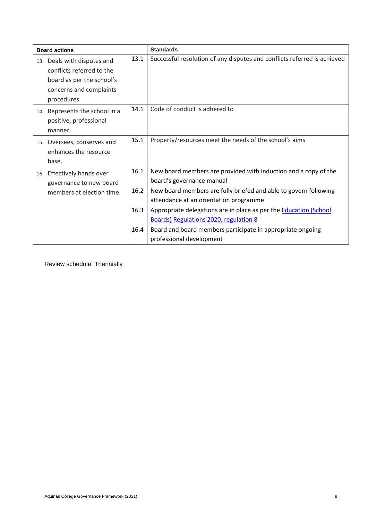| <b>Board actions</b>                                                                                                            |                              | <b>Standards</b>                                                                                                                                                                                                                                                                                                                                                                                                           |
|---------------------------------------------------------------------------------------------------------------------------------|------------------------------|----------------------------------------------------------------------------------------------------------------------------------------------------------------------------------------------------------------------------------------------------------------------------------------------------------------------------------------------------------------------------------------------------------------------------|
| 13. Deals with disputes and<br>conflicts referred to the<br>board as per the school's<br>concerns and complaints<br>procedures. | 13.1                         | Successful resolution of any disputes and conflicts referred is achieved                                                                                                                                                                                                                                                                                                                                                   |
| 14. Represents the school in a<br>positive, professional<br>manner.                                                             | 14.1                         | Code of conduct is adhered to                                                                                                                                                                                                                                                                                                                                                                                              |
| 15. Oversees, conserves and<br>enhances the resource<br>base.                                                                   | 15.1                         | Property/resources meet the needs of the school's aims                                                                                                                                                                                                                                                                                                                                                                     |
| 16. Effectively hands over<br>governance to new board<br>members at election time.                                              | 16.1<br>16.2<br>16.3<br>16.4 | New board members are provided with induction and a copy of the<br>board's governance manual<br>New board members are fully briefed and able to govern following<br>attendance at an orientation programme<br>Appropriate delegations are in place as per the <b>Education (School</b><br>Boards) Regulations 2020, regulation 8<br>Board and board members participate in appropriate ongoing<br>professional development |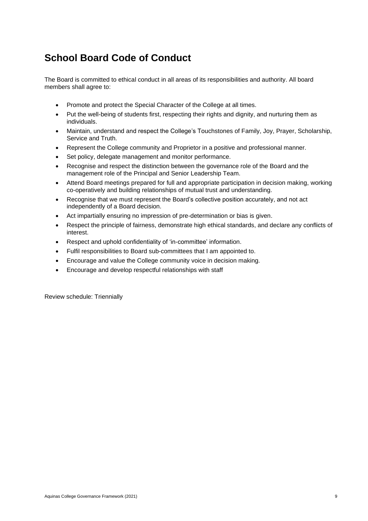# <span id="page-8-0"></span>**School Board Code of Conduct**

The Board is committed to ethical conduct in all areas of its responsibilities and authority. All board members shall agree to:

- Promote and protect the Special Character of the College at all times.
- Put the well-being of students first, respecting their rights and dignity, and nurturing them as individuals.
- Maintain, understand and respect the College's Touchstones of Family, Joy, Prayer, Scholarship, Service and Truth.
- Represent the College community and Proprietor in a positive and professional manner.
- Set policy, delegate management and monitor performance.
- Recognise and respect the distinction between the governance role of the Board and the management role of the Principal and Senior Leadership Team.
- Attend Board meetings prepared for full and appropriate participation in decision making, working co-operatively and building relationships of mutual trust and understanding.
- Recognise that we must represent the Board's collective position accurately, and not act independently of a Board decision.
- Act impartially ensuring no impression of pre-determination or bias is given.
- Respect the principle of fairness, demonstrate high ethical standards, and declare any conflicts of interest.
- Respect and uphold confidentiality of 'in-committee' information.
- Fulfil responsibilities to Board sub-committees that I am appointed to.
- Encourage and value the College community voice in decision making.
- Encourage and develop respectful relationships with staff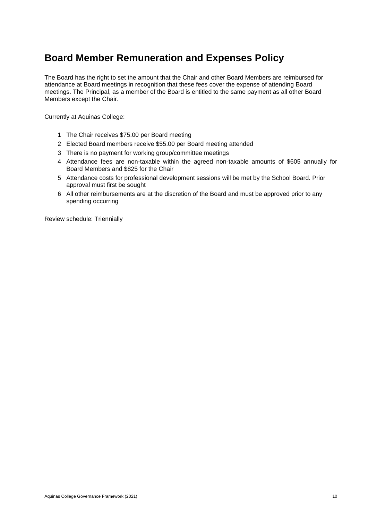### <span id="page-9-0"></span>**Board Member Remuneration and Expenses Policy**

The Board has the right to set the amount that the Chair and other Board Members are reimbursed for attendance at Board meetings in recognition that these fees cover the expense of attending Board meetings. The Principal, as a member of the Board is entitled to the same payment as all other Board Members except the Chair.

Currently at Aquinas College:

- 1 The Chair receives \$75.00 per Board meeting
- 2 Elected Board members receive \$55.00 per Board meeting attended
- 3 There is no payment for working group/committee meetings
- 4 Attendance fees are non-taxable within the agreed non-taxable amounts of \$605 annually for Board Members and \$825 for the Chair
- 5 Attendance costs for professional development sessions will be met by the School Board. Prior approval must first be sought
- 6 All other reimbursements are at the discretion of the Board and must be approved prior to any spending occurring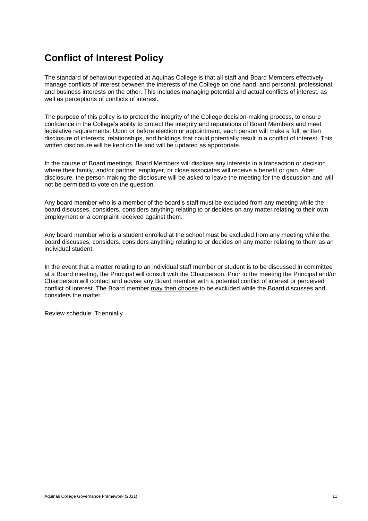### <span id="page-10-0"></span>**Conflict of Interest Policy**

The standard of behaviour expected at Aquinas College is that all staff and Board Members effectively manage conflicts of interest between the interests of the College on one hand, and personal, professional, and business interests on the other. This includes managing potential and actual conflicts of interest, as well as perceptions of conflicts of interest.

The purpose of this policy is to protect the integrity of the College decision-making process, to ensure confidence in the College's ability to protect the integrity and reputations of Board Members and meet legislative requirements. Upon or before election or appointment, each person will make a full, written disclosure of interests, relationships, and holdings that could potentially result in a conflict of interest. This written disclosure will be kept on file and will be updated as appropriate.

In the course of Board meetings, Board Members will disclose any interests in a transaction or decision where their family, and/or partner, employer, or close associates will receive a benefit or gain. After disclosure, the person making the disclosure will be asked to leave the meeting for the discussion and will not be permitted to vote on the question.

Any board member who is a member of the board's staff must be excluded from any meeting while the board discusses, considers, considers anything relating to or decides on any matter relating to their own employment or a complaint received against them.

Any board member who is a student enrolled at the school must be excluded from any meeting while the board discusses, considers, considers anything relating to or decides on any matter relating to them as an individual student.

In the event that a matter relating to an individual staff member or student is to be discussed in committee at a Board meeting, the Principal will consult with the Chairperson. Prior to the meeting the Principal and/or Chairperson will contact and advise any Board member with a potential conflict of interest or perceived conflict of interest. The Board member may then choose to be excluded while the Board discusses and considers the matter.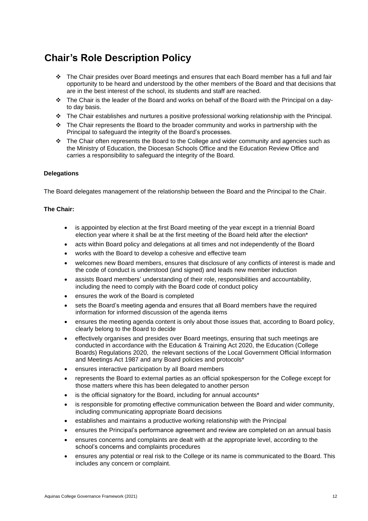### <span id="page-11-0"></span>**Chair's Role Description Policy**

- ❖ The Chair presides over Board meetings and ensures that each Board member has a full and fair opportunity to be heard and understood by the other members of the Board and that decisions that are in the best interest of the school, its students and staff are reached.
- ❖ The Chair is the leader of the Board and works on behalf of the Board with the Principal on a dayto day basis.
- ❖ The Chair establishes and nurtures a positive professional working relationship with the Principal.
- ❖ The Chair represents the Board to the broader community and works in partnership with the Principal to safeguard the integrity of the Board's processes.
- ❖ The Chair often represents the Board to the College and wider community and agencies such as the Ministry of Education, the Diocesan Schools Office and the Education Review Office and carries a responsibility to safeguard the integrity of the Board.

#### **Delegations**

The Board delegates management of the relationship between the Board and the Principal to the Chair.

#### **The Chair:**

- is appointed by election at the first Board meeting of the year except in a triennial Board election year where it shall be at the first meeting of the Board held after the election\*
- acts within Board policy and delegations at all times and not independently of the Board
- works with the Board to develop a cohesive and effective team
- welcomes new Board members, ensures that disclosure of any conflicts of interest is made and the code of conduct is understood (and signed) and leads new member induction
- assists Board members' understanding of their role, responsibilities and accountability, including the need to comply with the Board code of conduct policy
- ensures the work of the Board is completed
- sets the Board's meeting agenda and ensures that all Board members have the required information for informed discussion of the agenda items
- ensures the meeting agenda content is only about those issues that, according to Board policy, clearly belong to the Board to decide
- effectively organises and presides over Board meetings, ensuring that such meetings are conducted in accordance with the Education & Training Act 2020, the Education (College Boards) Regulations 2020, the relevant sections of the Local Government Official Information and Meetings Act 1987 and any Board policies and protocols\*
- ensures interactive participation by all Board members
- represents the Board to external parties as an official spokesperson for the College except for those matters where this has been delegated to another person
- is the official signatory for the Board, including for annual accounts\*
- is responsible for promoting effective communication between the Board and wider community, including communicating appropriate Board decisions
- establishes and maintains a productive working relationship with the Principal
- ensures the Principal's performance agreement and review are completed on an annual basis
- ensures concerns and complaints are dealt with at the appropriate level, according to the school's concerns and complaints procedures
- ensures any potential or real risk to the College or its name is communicated to the Board. This includes any concern or complaint.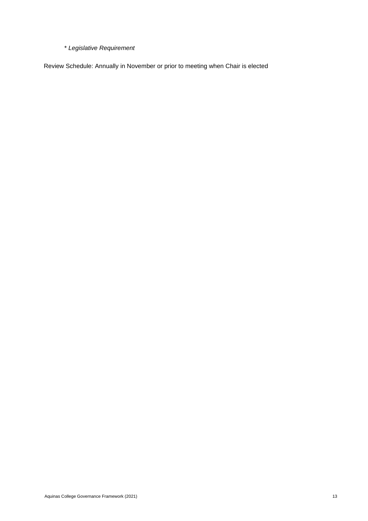\* *Legislative Requirement*

Review Schedule: Annually in November or prior to meeting when Chair is elected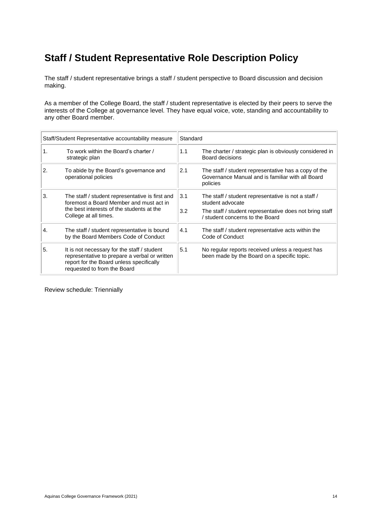# <span id="page-13-0"></span>**Staff / Student Representative Role Description Policy**

The staff / student representative brings a staff / student perspective to Board discussion and decision making.

As a member of the College Board, the staff / student representative is elected by their peers to serve the interests of the College at governance level. They have equal voice, vote, standing and accountability to any other Board member.

|    | Staff/Student Representative accountability measure                                                                                                                     | Standard   |                                                                                                                                                                       |
|----|-------------------------------------------------------------------------------------------------------------------------------------------------------------------------|------------|-----------------------------------------------------------------------------------------------------------------------------------------------------------------------|
| 1. | To work within the Board's charter /<br>strategic plan                                                                                                                  | 1.1        | The charter / strategic plan is obviously considered in<br>Board decisions                                                                                            |
| 2. | To abide by the Board's governance and<br>operational policies                                                                                                          | 2.1        | The staff / student representative has a copy of the<br>Governance Manual and is familiar with all Board<br>policies                                                  |
| 3. | The staff / student representative is first and<br>foremost a Board Member and must act in<br>the best interests of the students at the<br>College at all times.        | 3.1<br>3.2 | The staff / student representative is not a staff /<br>student advocate<br>The staff / student representative does not bring staff<br>/ student concerns to the Board |
| 4. | The staff / student representative is bound<br>by the Board Members Code of Conduct                                                                                     | 4.1        | The staff / student representative acts within the<br>Code of Conduct                                                                                                 |
| 5. | It is not necessary for the staff / student<br>representative to prepare a verbal or written<br>report for the Board unless specifically<br>requested to from the Board | 5.1        | No regular reports received unless a request has<br>been made by the Board on a specific topic.                                                                       |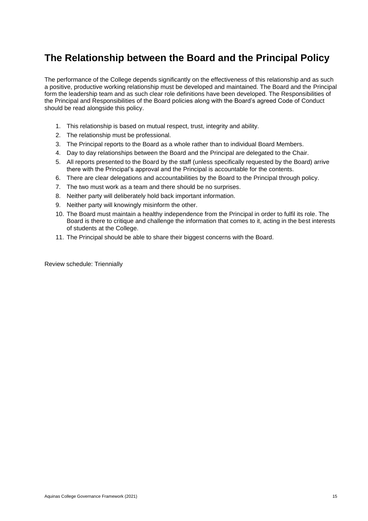### <span id="page-14-0"></span>**The Relationship between the Board and the Principal Policy**

The performance of the College depends significantly on the effectiveness of this relationship and as such a positive, productive working relationship must be developed and maintained. The Board and the Principal form the leadership team and as such clear role definitions have been developed. The Responsibilities of the Principal and Responsibilities of the Board policies along with the Board's agreed Code of Conduct should be read alongside this policy.

- 1. This relationship is based on mutual respect, trust, integrity and ability.
- 2. The relationship must be professional.
- 3. The Principal reports to the Board as a whole rather than to individual Board Members.
- 4. Day to day relationships between the Board and the Principal are delegated to the Chair.
- 5. All reports presented to the Board by the staff (unless specifically requested by the Board) arrive there with the Principal's approval and the Principal is accountable for the contents.
- 6. There are clear delegations and accountabilities by the Board to the Principal through policy.
- 7. The two must work as a team and there should be no surprises.
- 8. Neither party will deliberately hold back important information.
- 9. Neither party will knowingly misinform the other.
- 10. The Board must maintain a healthy independence from the Principal in order to fulfil its role. The Board is there to critique and challenge the information that comes to it, acting in the best interests of students at the College.
- 11. The Principal should be able to share their biggest concerns with the Board.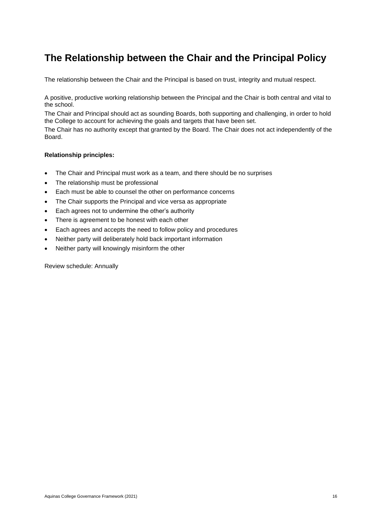### <span id="page-15-0"></span>**The Relationship between the Chair and the Principal Policy**

The relationship between the Chair and the Principal is based on trust, integrity and mutual respect.

A positive, productive working relationship between the Principal and the Chair is both central and vital to the school.

The Chair and Principal should act as sounding Boards, both supporting and challenging, in order to hold the College to account for achieving the goals and targets that have been set.

The Chair has no authority except that granted by the Board. The Chair does not act independently of the Board.

#### **Relationship principles:**

- The Chair and Principal must work as a team, and there should be no surprises
- The relationship must be professional
- Each must be able to counsel the other on performance concerns
- The Chair supports the Principal and vice versa as appropriate
- Each agrees not to undermine the other's authority
- There is agreement to be honest with each other
- Each agrees and accepts the need to follow policy and procedures
- Neither party will deliberately hold back important information
- Neither party will knowingly misinform the other

Review schedule: Annually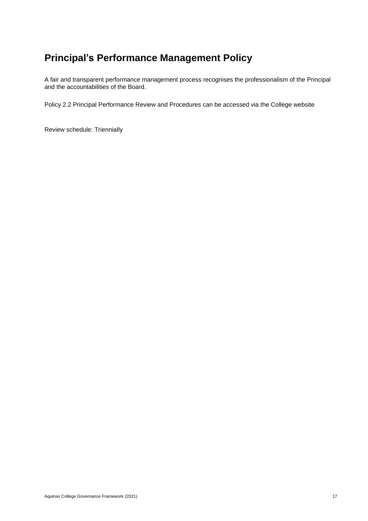### <span id="page-16-0"></span>**Principal's Performance Management Policy**

A fair and transparent performance management process recognises the professionalism of the Principal and the accountabilities of the Board.

Policy 2.2 Principal Performance Review and Procedures can be accessed via the College website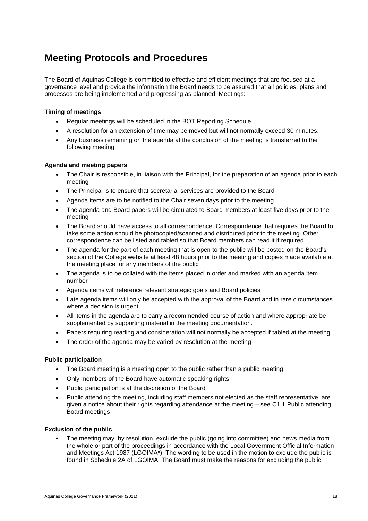### <span id="page-17-0"></span>**Meeting Protocols and Procedures**

The Board of Aquinas College is committed to effective and efficient meetings that are focused at a governance level and provide the information the Board needs to be assured that all policies, plans and processes are being implemented and progressing as planned. Meetings:

#### **Timing of meetings**

- Regular meetings will be scheduled in the BOT Reporting Schedule
- A resolution for an extension of time may be moved but will not normally exceed 30 minutes.
- Any business remaining on the agenda at the conclusion of the meeting is transferred to the following meeting.

#### **Agenda and meeting papers**

- The Chair is responsible, in liaison with the Principal, for the preparation of an agenda prior to each meeting
- The Principal is to ensure that secretarial services are provided to the Board
- Agenda items are to be notified to the Chair seven days prior to the meeting
- The agenda and Board papers will be circulated to Board members at least five days prior to the meeting
- The Board should have access to all correspondence. Correspondence that requires the Board to take some action should be photocopied/scanned and distributed prior to the meeting. Other correspondence can be listed and tabled so that Board members can read it if required
- The agenda for the part of each meeting that is open to the public will be posted on the Board's section of the College website at least 48 hours prior to the meeting and copies made available at the meeting place for any members of the public
- The agenda is to be collated with the items placed in order and marked with an agenda item number
- Agenda items will reference relevant strategic goals and Board policies
- Late agenda items will only be accepted with the approval of the Board and in rare circumstances where a decision is urgent
- All items in the agenda are to carry a recommended course of action and where appropriate be supplemented by supporting material in the meeting documentation.
- Papers requiring reading and consideration will not normally be accepted if tabled at the meeting.
- The order of the agenda may be varied by resolution at the meeting

#### **Public participation**

- The Board meeting is a meeting open to the public rather than a public meeting
- Only members of the Board have automatic speaking rights
- Public participation is at the discretion of the Board
- Public attending the meeting, including staff members not elected as the staff representative, are given a notice about their rights regarding attendance at the meeting – see C1.1 Public attending Board meetings

#### **Exclusion of the public**

• The meeting may, by resolution, exclude the public (going into committee) and news media from the whole or part of the proceedings in accordance with the Local Government Official Information and Meetings Act 1987 (LGOIMA\*). The wording to be used in the motion to exclude the public is found in Schedule 2A of LGOIMA. The Board must make the reasons for excluding the public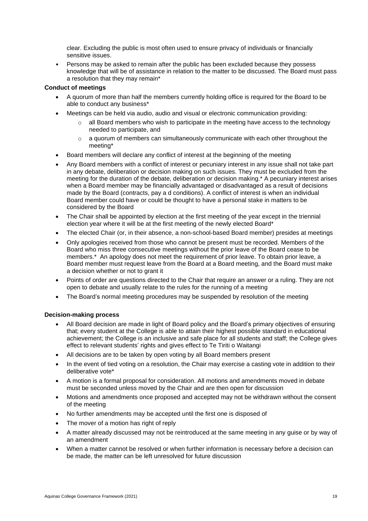clear. Excluding the public is most often used to ensure privacy of individuals or financially sensitive issues.

• Persons may be asked to remain after the public has been excluded because they possess knowledge that will be of assistance in relation to the matter to be discussed. The Board must pass a resolution that they may remain\*

#### **Conduct of meetings**

- A quorum of more than half the members currently holding office is required for the Board to be able to conduct any business\*
- Meetings can be held via audio, audio and visual or electronic communication providing:
	- $\circ$  all Board members who wish to participate in the meeting have access to the technology needed to participate, and
	- $\circ$  a quorum of members can simultaneously communicate with each other throughout the meeting\*
- Board members will declare any conflict of interest at the beginning of the meeting
- Any Board members with a conflict of interest or pecuniary interest in any issue shall not take part in any debate, deliberation or decision making on such issues. They must be excluded from the meeting for the duration of the debate, deliberation or decision making.\* A pecuniary interest arises when a Board member may be financially advantaged or disadvantaged as a result of decisions made by the Board (contracts, pay a d conditions). A conflict of interest is when an individual Board member could have or could be thought to have a personal stake in matters to be considered by the Board
- The Chair shall be appointed by election at the first meeting of the year except in the triennial election year where it will be at the first meeting of the newly elected Board\*
- The elected Chair (or, in their absence, a non-school-based Board member) presides at meetings
- Only apologies received from those who cannot be present must be recorded. Members of the Board who miss three consecutive meetings without the prior leave of the Board cease to be members.\* An apology does not meet the requirement of prior leave. To obtain prior leave, a Board member must request leave from the Board at a Board meeting, and the Board must make a decision whether or not to grant it
- Points of order are questions directed to the Chair that require an answer or a ruling. They are not open to debate and usually relate to the rules for the running of a meeting
- The Board's normal meeting procedures may be suspended by resolution of the meeting

#### **Decision-making process**

- All Board decision are made in light of Board policy and the Board's primary objectives of ensuring that; every student at the College is able to attain their highest possible standard in educational achievement; the College is an inclusive and safe place for all students and staff; the College gives effect to relevant students' rights and gives effect to Te Tiriti o Waitangi
- All decisions are to be taken by open voting by all Board members present
- In the event of tied voting on a resolution, the Chair may exercise a casting vote in addition to their deliberative vote\*
- A motion is a formal proposal for consideration. All motions and amendments moved in debate must be seconded unless moved by the Chair and are then open for discussion
- Motions and amendments once proposed and accepted may not be withdrawn without the consent of the meeting
- No further amendments may be accepted until the first one is disposed of
- The mover of a motion has right of reply
- A matter already discussed may not be reintroduced at the same meeting in any guise or by way of an amendment
- When a matter cannot be resolved or when further information is necessary before a decision can be made, the matter can be left unresolved for future discussion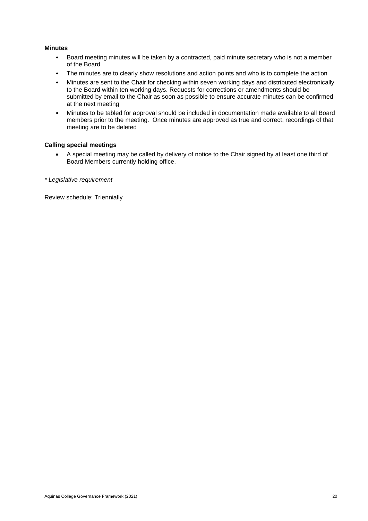#### **Minutes**

- Board meeting minutes will be taken by a contracted, paid minute secretary who is not a member of the Board
- The minutes are to clearly show resolutions and action points and who is to complete the action
- Minutes are sent to the Chair for checking within seven working days and distributed electronically to the Board within ten working days. Requests for corrections or amendments should be submitted by email to the Chair as soon as possible to ensure accurate minutes can be confirmed at the next meeting
- Minutes to be tabled for approval should be included in documentation made available to all Board members prior to the meeting. Once minutes are approved as true and correct, recordings of that meeting are to be deleted

#### **Calling special meetings**

• A special meeting may be called by delivery of notice to the Chair signed by at least one third of Board Members currently holding office.

*\* Legislative requirement*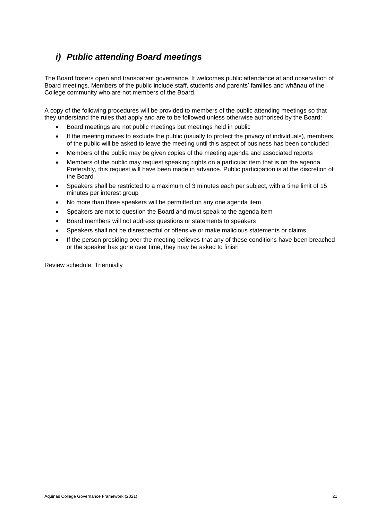### <span id="page-20-0"></span>*i) Public attending Board meetings*

The Board fosters open and transparent governance. It welcomes public attendance at and observation of Board meetings. Members of the public include staff, students and parents' families and whānau of the College community who are not members of the Board.

A copy of the following procedures will be provided to members of the public attending meetings so that they understand the rules that apply and are to be followed unless otherwise authorised by the Board:

- Board meetings are not public meetings but meetings held in public
- If the meeting moves to exclude the public (usually to protect the privacy of individuals), members of the public will be asked to leave the meeting until this aspect of business has been concluded
- Members of the public may be given copies of the meeting agenda and associated reports
- Members of the public may request speaking rights on a particular item that is on the agenda. Preferably, this request will have been made in advance. Public participation is at the discretion of the Board
- Speakers shall be restricted to a maximum of 3 minutes each per subject, with a time limit of 15 minutes per interest group
- No more than three speakers will be permitted on any one agenda item
- Speakers are not to question the Board and must speak to the agenda item
- Board members will not address questions or statements to speakers
- Speakers shall not be disrespectful or offensive or make malicious statements or claims
- If the person presiding over the meeting believes that any of these conditions have been breached or the speaker has gone over time, they may be asked to finish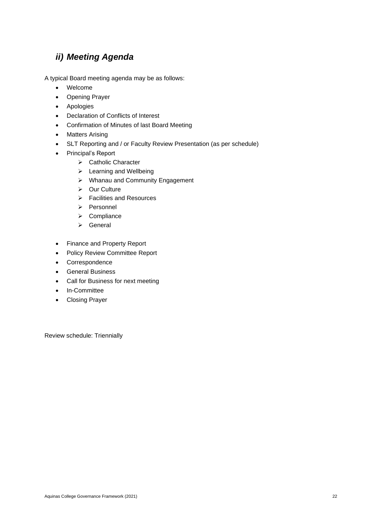### <span id="page-21-0"></span>*ii) Meeting Agenda*

A typical Board meeting agenda may be as follows:

- Welcome
- Opening Prayer
- Apologies
- Declaration of Conflicts of Interest
- Confirmation of Minutes of last Board Meeting
- Matters Arising
- SLT Reporting and / or Faculty Review Presentation (as per schedule)
- Principal's Report
	- ➢ Catholic Character
	- ➢ Learning and Wellbeing
	- ➢ Whanau and Community Engagement
	- ➢ Our Culture
	- ➢ Facilities and Resources
	- ➢ Personnel
	- ➢ Compliance
	- ➢ General
- Finance and Property Report
- Policy Review Committee Report
- Correspondence
- General Business
- Call for Business for next meeting
- In-Committee
- Closing Prayer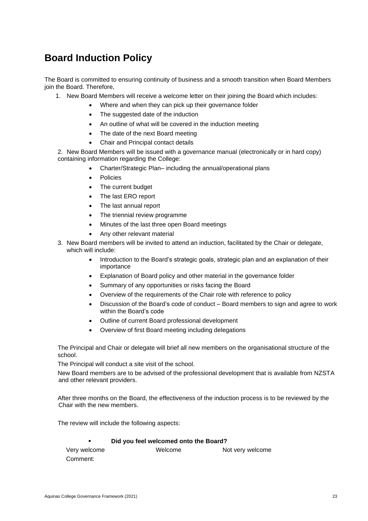### <span id="page-22-0"></span>**Board Induction Policy**

The Board is committed to ensuring continuity of business and a smooth transition when Board Members join the Board. Therefore,

- 1. New Board Members will receive a welcome letter on their joining the Board which includes:
	- Where and when they can pick up their governance folder
	- The suggested date of the induction
	- An outline of what will be covered in the induction meeting
	- The date of the next Board meeting
	- Chair and Principal contact details

2. New Board Members will be issued with a governance manual (electronically or in hard copy) containing information regarding the College:

- Charter/Strategic Plan– including the annual/operational plans
- Policies
- The current budget
- The last ERO report
- The last annual report
- The triennial review programme
- Minutes of the last three open Board meetings
- Any other relevant material
- 3. New Board members will be invited to attend an induction, facilitated by the Chair or delegate, which will include:
	- Introduction to the Board's strategic goals, strategic plan and an explanation of their importance
	- Explanation of Board policy and other material in the governance folder
	- Summary of any opportunities or risks facing the Board
	- Overview of the requirements of the Chair role with reference to policy
	- Discussion of the Board's code of conduct Board members to sign and agree to work within the Board's code
	- Outline of current Board professional development
	- Overview of first Board meeting including delegations

The Principal and Chair or delegate will brief all new members on the organisational structure of the school.

The Principal will conduct a site visit of the school.

New Board members are to be advised of the professional development that is available from NZSTA and other relevant providers.

After three months on the Board, the effectiveness of the induction process is to be reviewed by the Chair with the new members.

The review will include the following aspects:

#### **Did you feel welcomed onto the Board?**

| Very welcome | Welcome | Not very welcome |
|--------------|---------|------------------|
| Comment:     |         |                  |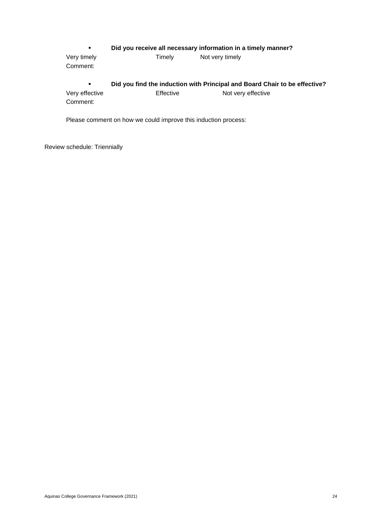#### ▪ **Did you receive all necessary information in a timely manner?**

Very timely **Not very timely** Not very timely Comment: ▪ **Did you find the induction with Principal and Board Chair to be effective?** Very effective Effective Effective Not very effective

Comment:

Please comment on how we could improve this induction process: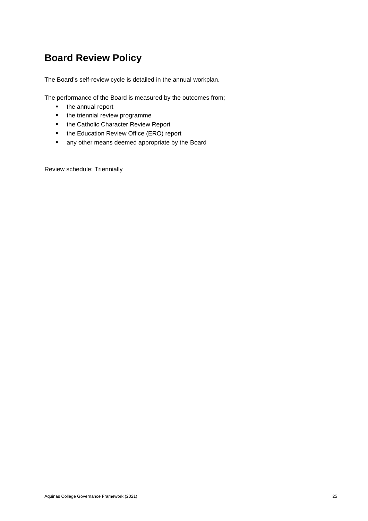# <span id="page-24-0"></span>**Board Review Policy**

The Board's self-review cycle is detailed in the annual workplan.

The performance of the Board is measured by the outcomes from;

- the annual report
- **•** the triennial review programme
- the Catholic Character Review Report
- the Education Review Office (ERO) report
- any other means deemed appropriate by the Board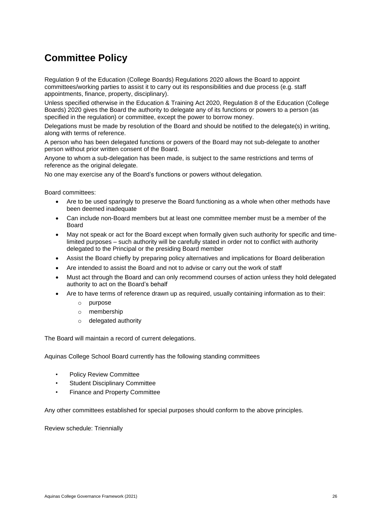### <span id="page-25-0"></span>**Committee Policy**

Regulation 9 of the Education (College Boards) Regulations 2020 allows the Board to appoint committees/working parties to assist it to carry out its responsibilities and due process (e.g. staff appointments, finance, property, disciplinary).

Unless specified otherwise in the Education & Training Act 2020, Regulation 8 of the Education (College Boards) 2020 gives the Board the authority to delegate any of its functions or powers to a person (as specified in the regulation) or committee, except the power to borrow money.

Delegations must be made by resolution of the Board and should be notified to the delegate(s) in writing, along with terms of reference.

A person who has been delegated functions or powers of the Board may not sub-delegate to another person without prior written consent of the Board.

Anyone to whom a sub-delegation has been made, is subject to the same restrictions and terms of reference as the original delegate.

No one may exercise any of the Board's functions or powers without delegation.

Board committees:

- Are to be used sparingly to preserve the Board functioning as a whole when other methods have been deemed inadequate
- Can include non-Board members but at least one committee member must be a member of the **Board**
- May not speak or act for the Board except when formally given such authority for specific and timelimited purposes – such authority will be carefully stated in order not to conflict with authority delegated to the Principal or the presiding Board member
- Assist the Board chiefly by preparing policy alternatives and implications for Board deliberation
- Are intended to assist the Board and not to advise or carry out the work of staff
- Must act through the Board and can only recommend courses of action unless they hold delegated authority to act on the Board's behalf
- Are to have terms of reference drawn up as required, usually containing information as to their:
	- o purpose
	- o membership
	- o delegated authority

The Board will maintain a record of current delegations.

Aquinas College School Board currently has the following standing committees

- Policy Review Committee
- Student Disciplinary Committee
- Finance and Property Committee

Any other committees established for special purposes should conform to the above principles.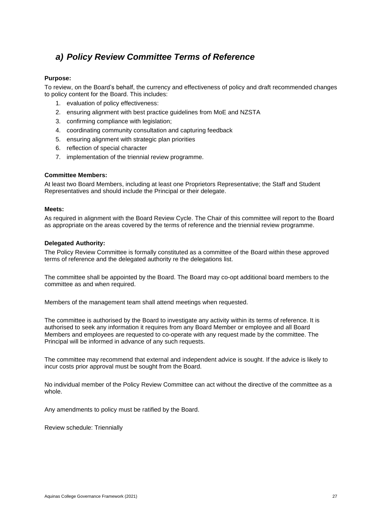### <span id="page-26-0"></span>*a) Policy Review Committee Terms of Reference*

#### **Purpose:**

To review, on the Board's behalf, the currency and effectiveness of policy and draft recommended changes to policy content for the Board. This includes:

- 1. evaluation of policy effectiveness:
- 2. ensuring alignment with best practice guidelines from MoE and NZSTA
- 3. confirming compliance with legislation;
- 4. coordinating community consultation and capturing feedback
- 5. ensuring alignment with strategic plan priorities
- 6. reflection of special character
- 7. implementation of the triennial review programme.

#### **Committee Members:**

At least two Board Members, including at least one Proprietors Representative; the Staff and Student Representatives and should include the Principal or their delegate.

#### **Meets:**

As required in alignment with the Board Review Cycle. The Chair of this committee will report to the Board as appropriate on the areas covered by the terms of reference and the triennial review programme.

#### **Delegated Authority:**

The Policy Review Committee is formally constituted as a committee of the Board within these approved terms of reference and the delegated authority re the delegations list.

The committee shall be appointed by the Board. The Board may co-opt additional board members to the committee as and when required.

Members of the management team shall attend meetings when requested.

The committee is authorised by the Board to investigate any activity within its terms of reference. It is authorised to seek any information it requires from any Board Member or employee and all Board Members and employees are requested to co-operate with any request made by the committee. The Principal will be informed in advance of any such requests.

The committee may recommend that external and independent advice is sought. If the advice is likely to incur costs prior approval must be sought from the Board.

No individual member of the Policy Review Committee can act without the directive of the committee as a whole.

Any amendments to policy must be ratified by the Board.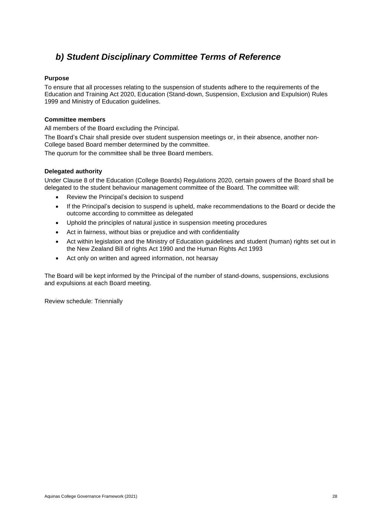### <span id="page-27-0"></span>*b) Student Disciplinary Committee Terms of Reference*

#### **Purpose**

To ensure that all processes relating to the suspension of students adhere to the requirements of the Education and Training Act 2020, Education (Stand-down, Suspension, Exclusion and Expulsion) Rules 1999 and Ministry of Education guidelines.

#### **Committee members**

All members of the Board excluding the Principal.

The Board's Chair shall preside over student suspension meetings or, in their absence, another non-College based Board member determined by the committee.

The quorum for the committee shall be three Board members.

#### **Delegated authority**

Under Clause 8 of the Education (College Boards) Regulations 2020, certain powers of the Board shall be delegated to the student behaviour management committee of the Board. The committee will:

- Review the Principal's decision to suspend
- If the Principal's decision to suspend is upheld, make recommendations to the Board or decide the outcome according to committee as delegated
- Uphold the principles of natural justice in suspension meeting procedures
- Act in fairness, without bias or prejudice and with confidentiality
- Act within legislation and the Ministry of Education guidelines and student (human) rights set out in the New Zealand Bill of rights Act 1990 and the Human Rights Act 1993
- Act only on written and agreed information, not hearsay

The Board will be kept informed by the Principal of the number of stand-downs, suspensions, exclusions and expulsions at each Board meeting.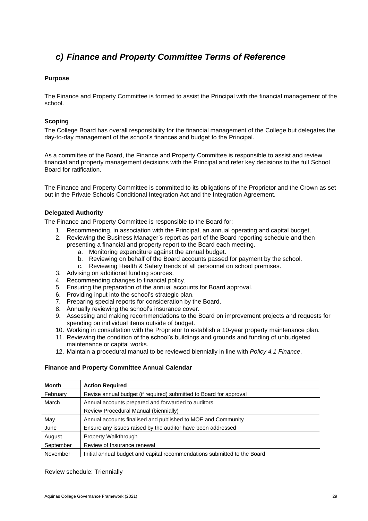### <span id="page-28-0"></span>*c) Finance and Property Committee Terms of Reference*

#### **Purpose**

The Finance and Property Committee is formed to assist the Principal with the financial management of the school.

#### **Scoping**

The College Board has overall responsibility for the financial management of the College but delegates the day-to-day management of the school's finances and budget to the Principal.

As a committee of the Board, the Finance and Property Committee is responsible to assist and review financial and property management decisions with the Principal and refer key decisions to the full School Board for ratification.

The Finance and Property Committee is committed to its obligations of the Proprietor and the Crown as set out in the Private Schools Conditional Integration Act and the Integration Agreement.

#### **Delegated Authority**

The Finance and Property Committee is responsible to the Board for:

- 1. Recommending, in association with the Principal, an annual operating and capital budget.
- 2. Reviewing the Business Manager's report as part of the Board reporting schedule and then presenting a financial and property report to the Board each meeting.
	- a. Monitoring expenditure against the annual budget.
	- b. Reviewing on behalf of the Board accounts passed for payment by the school.
	- c. Reviewing Health & Safety trends of all personnel on school premises.
- 3. Advising on additional funding sources.
- 4. Recommending changes to financial policy.
- 5. Ensuring the preparation of the annual accounts for Board approval.
- 6. Providing input into the school's strategic plan.
- 7. Preparing special reports for consideration by the Board.
- 8. Annually reviewing the school's insurance cover.
- 9. Assessing and making recommendations to the Board on improvement projects and requests for spending on individual items outside of budget.
- 10. Working in consultation with the Proprietor to establish a 10-year property maintenance plan.
- 11. Reviewing the condition of the school's buildings and grounds and funding of unbudgeted maintenance or capital works.
- 12. Maintain a procedural manual to be reviewed biennially in line with *Policy 4.1 Finance*.

#### **Finance and Property Committee Annual Calendar**

| Month     | <b>Action Required</b>                                                   |
|-----------|--------------------------------------------------------------------------|
| February  | Revise annual budget (if required) submitted to Board for approval       |
| March     | Annual accounts prepared and forwarded to auditors                       |
|           | Review Procedural Manual (biennially)                                    |
| May       | Annual accounts finalised and published to MOE and Community             |
| June      | Ensure any issues raised by the auditor have been addressed              |
| August    | Property Walkthrough                                                     |
| September | Review of Insurance renewal                                              |
| November  | Initial annual budget and capital recommendations submitted to the Board |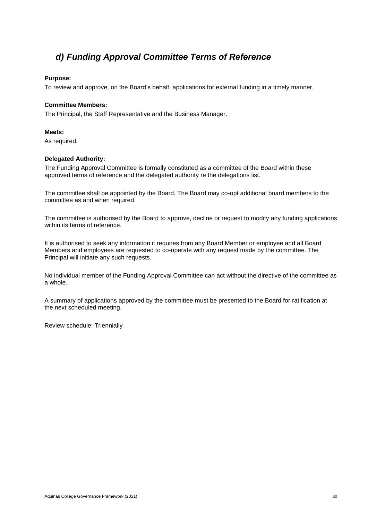### <span id="page-29-0"></span>*d) Funding Approval Committee Terms of Reference*

#### **Purpose:**

To review and approve, on the Board's behalf, applications for external funding in a timely manner.

#### **Committee Members:**

The Principal, the Staff Representative and the Business Manager.

#### **Meets:**

As required.

#### **Delegated Authority:**

The Funding Approval Committee is formally constituted as a committee of the Board within these approved terms of reference and the delegated authority re the delegations list.

The committee shall be appointed by the Board. The Board may co-opt additional board members to the committee as and when required.

The committee is authorised by the Board to approve, decline or request to modify any funding applications within its terms of reference.

It is authorised to seek any information it requires from any Board Member or employee and all Board Members and employees are requested to co-operate with any request made by the committee. The Principal will initiate any such requests.

No individual member of the Funding Approval Committee can act without the directive of the committee as a whole.

A summary of applications approved by the committee must be presented to the Board for ratification at the next scheduled meeting.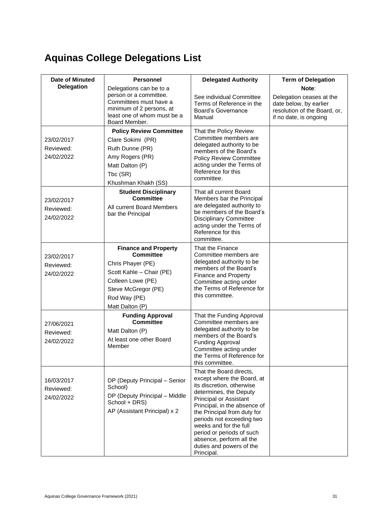# <span id="page-30-0"></span>**Aquinas College Delegations List**

<span id="page-30-1"></span>

| Date of Minuted                       | <b>Personnel</b>                                                                                                                                                                | <b>Delegated Authority</b>                                                                                                                                                                                                                                                                                                                                             | <b>Term of Delegation</b>                                                                                             |
|---------------------------------------|---------------------------------------------------------------------------------------------------------------------------------------------------------------------------------|------------------------------------------------------------------------------------------------------------------------------------------------------------------------------------------------------------------------------------------------------------------------------------------------------------------------------------------------------------------------|-----------------------------------------------------------------------------------------------------------------------|
| <b>Delegation</b>                     | Delegations can be to a<br>person or a committee.<br>Committees must have a<br>minimum of 2 persons, at<br>least one of whom must be a<br>Board Member.                         | See individual Committee<br>Terms of Reference in the<br>Board's Governance<br>Manual                                                                                                                                                                                                                                                                                  | Note:<br>Delegation ceases at the<br>date below, by earlier<br>resolution of the Board, or,<br>if no date, is ongoing |
| 23/02/2017<br>Reviewed:<br>24/02/2022 | <b>Policy Review Committee</b><br>Clare Sokimi (PR)<br>Ruth Dunne (PR)<br>Amy Rogers (PR)<br>Matt Dalton (P)<br>Tbc (SR)<br>Khushman Khakh (SS)                                 | That the Policy Review<br>Committee members are<br>delegated authority to be<br>members of the Board's<br><b>Policy Review Committee</b><br>acting under the Terms of<br>Reference for this<br>committee.                                                                                                                                                              |                                                                                                                       |
| 23/02/2017<br>Reviewed:<br>24/02/2022 | <b>Student Disciplinary</b><br><b>Committee</b><br>All current Board Members<br>bar the Principal                                                                               | That all current Board<br>Members bar the Principal<br>are delegated authority to<br>be members of the Board's<br><b>Disciplinary Committee</b><br>acting under the Terms of<br>Reference for this<br>committee.                                                                                                                                                       |                                                                                                                       |
| 23/02/2017<br>Reviewed:<br>24/02/2022 | <b>Finance and Property</b><br><b>Committee</b><br>Chris Phayer (PE)<br>Scott Kahle - Chair (PE)<br>Colleen Lowe (PE)<br>Steve McGregor (PE)<br>Rod Way (PE)<br>Matt Dalton (P) | That the Finance<br>Committee members are<br>delegated authority to be<br>members of the Board's<br><b>Finance and Property</b><br>Committee acting under<br>the Terms of Reference for<br>this committee.                                                                                                                                                             |                                                                                                                       |
| 27/06/2021<br>Reviewed:<br>24/02/2022 | <b>Funding Approval</b><br><b>Committee</b><br>Matt Dalton (P)<br>At least one other Board<br>Member                                                                            | That the Funding Approval<br>Committee members are<br>delegated authority to be<br>members of the Board's<br><b>Funding Approval</b><br>Committee acting under<br>the Terms of Reference for<br>this committee.                                                                                                                                                        |                                                                                                                       |
| 16/03/2017<br>Reviewed:<br>24/02/2022 | DP (Deputy Principal - Senior<br>School)<br>DP (Deputy Principal - Middle<br>School + DRS)<br>AP (Assistant Principal) x 2                                                      | That the Board directs,<br>except where the Board, at<br>its discretion, otherwise<br>determines, the Deputy<br><b>Principal or Assistant</b><br>Principal, in the absence of<br>the Principal from duty for<br>periods not exceeding two<br>weeks and for the full<br>period or periods of such<br>absence, perform all the<br>duties and powers of the<br>Principal. |                                                                                                                       |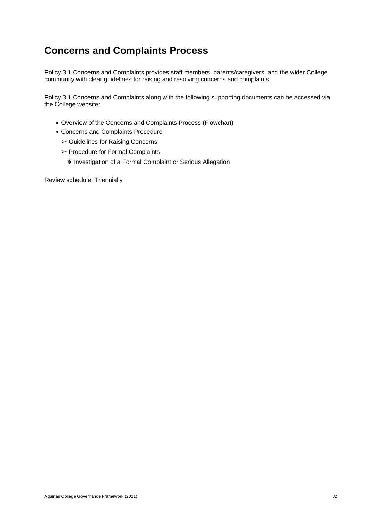### **Concerns and Complaints Process**

Policy 3.1 Concerns and Complaints provides staff members, parents/caregivers, and the wider College community with clear guidelines for raising and resolving concerns and complaints.

Policy 3.1 Concerns and Complaints along with the following supporting documents can be accessed via the College website:

- Overview of the Concerns and Complaints Process (Flowchart)
- Concerns and Complaints Procedure
	- ➢ Guidelines for Raising Concerns
	- ➢ Procedure for Formal Complaints
		- ❖ Investigation of a Formal Complaint or Serious Allegation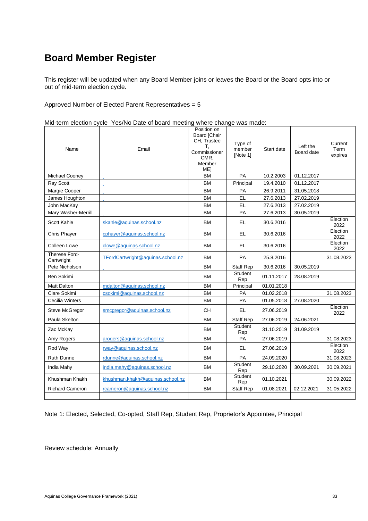### <span id="page-32-0"></span>**Board Member Register**

This register will be updated when any Board Member joins or leaves the Board or the Board opts into or out of mid-term election cycle.

Approved Number of Elected Parent Representatives = 5

|  | Mid-term election cycle Yes/No Date of board meeting where change was made: |  |
|--|-----------------------------------------------------------------------------|--|
|--|-----------------------------------------------------------------------------|--|

| Name                        | Email                             | Position on<br><b>Board [Chair</b><br>CH, Trustee<br>Т.<br>Commissioner<br>CMR,<br>Member<br>ME <sub>1</sub> | Type of<br>member<br>[Note 1] | Start date | Left the<br>Board date | Current<br>Term<br>expires |
|-----------------------------|-----------------------------------|--------------------------------------------------------------------------------------------------------------|-------------------------------|------------|------------------------|----------------------------|
| Michael Cooney              |                                   | <b>BM</b>                                                                                                    | PA                            | 10.2.2003  | 01.12.2017             |                            |
| Ray Scott                   |                                   | <b>BM</b>                                                                                                    | Principal                     | 19.4.2010  | 01.12.2017             |                            |
| Margie Cooper               |                                   | <b>BM</b>                                                                                                    | PA                            | 26.9.2011  | 31.05.2018             |                            |
| James Houghton              |                                   | <b>BM</b>                                                                                                    | <b>EL</b>                     | 27.6.2013  | 27.02.2019             |                            |
| John MacKay                 |                                   | <b>BM</b>                                                                                                    | <b>EL</b>                     | 27.6.2013  | 27.02.2019             |                            |
| Mary Washer-Merrill         |                                   | <b>BM</b>                                                                                                    | <b>PA</b>                     | 27.6.2013  | 30.05.2019             |                            |
| Scott Kahle                 | skahle@aquinas.school.nz          | <b>BM</b>                                                                                                    | EL                            | 30.6.2016  |                        | Election<br>2022           |
| <b>Chris Phayer</b>         | cphayer@aquinas.school.nz         | <b>BM</b>                                                                                                    | EL                            | 30.6.2016  |                        | Election<br>2022           |
| Colleen Lowe                | clowe@aquinas.school.nz           | <b>BM</b>                                                                                                    | EL.                           | 30.6.2016  |                        | Election<br>2022           |
| Therese Ford-<br>Cartwright | TFordCartwright@aquinas.school.nz | <b>BM</b>                                                                                                    | <b>PA</b>                     | 25.8.2016  |                        | 31.08.2023                 |
| Pete Nicholson              |                                   | <b>BM</b>                                                                                                    | <b>Staff Rep</b>              | 30.6.2016  | 30.05.2019             |                            |
| Ben Sokimi                  |                                   | <b>BM</b>                                                                                                    | Student<br>Rep                | 01.11.2017 | 28.08.2019             |                            |
| <b>Matt Dalton</b>          | mdalton@aquinas.school.nz         | <b>BM</b>                                                                                                    | Principal                     | 01.01.2018 |                        |                            |
| Clare Sokimi                | csokimi@aquinas.school.nz         | <b>BM</b>                                                                                                    | <b>PA</b>                     | 01.02.2018 |                        | 31.08.2023                 |
| Cecilia Winters             |                                   | <b>BM</b>                                                                                                    | <b>PA</b>                     | 01.05.2018 | 27.08.2020             |                            |
| Steve McGregor              | smcgregor@aquinas.school.nz       | <b>CH</b>                                                                                                    | EL                            | 27.06.2019 |                        | Election<br>2022           |
| Paula Skelton               |                                   | <b>BM</b>                                                                                                    | <b>Staff Rep</b>              | 27.06.2019 | 24.06.2021             |                            |
| Zac McKay                   |                                   | <b>BM</b>                                                                                                    | Student<br>Rep                | 31.10.2019 | 31.09.2019             |                            |
| Amy Rogers                  | arogers@aquinas.school.nz         | <b>BM</b>                                                                                                    | PA                            | 27.06.2019 |                        | 31.08.2023                 |
| Rod Way                     | rway@aquinas.school.nz            | <b>BM</b>                                                                                                    | EL.                           | 27.06.2019 |                        | Election<br>2022           |
| <b>Ruth Dunne</b>           | rdunne@aquinas.school.nz          | <b>BM</b>                                                                                                    | PA                            | 24.09.2020 |                        | 31.08.2023                 |
| India Mahy                  | india.mahy@aquinas.school.nz      | <b>BM</b>                                                                                                    | <b>Student</b><br>Rep         | 29.10.2020 | 30.09.2021             | 30.09.2021                 |
| Khushman Khakh              | khushman.khakh@aquinas.school.nz  | <b>BM</b>                                                                                                    | <b>Student</b><br>Rep         | 01.10.2021 |                        | 30.09.2022                 |
| <b>Richard Cameron</b>      | rcameron@aquinas.school.nz        | <b>BM</b>                                                                                                    | <b>Staff Rep</b>              | 01.08.2021 | 02.12.2021             | 31.05.2022                 |
|                             |                                   |                                                                                                              |                               |            |                        |                            |

Note 1: Elected, Selected, Co-opted, Staff Rep, Student Rep, Proprietor's Appointee, Principal

Review schedule: Annually